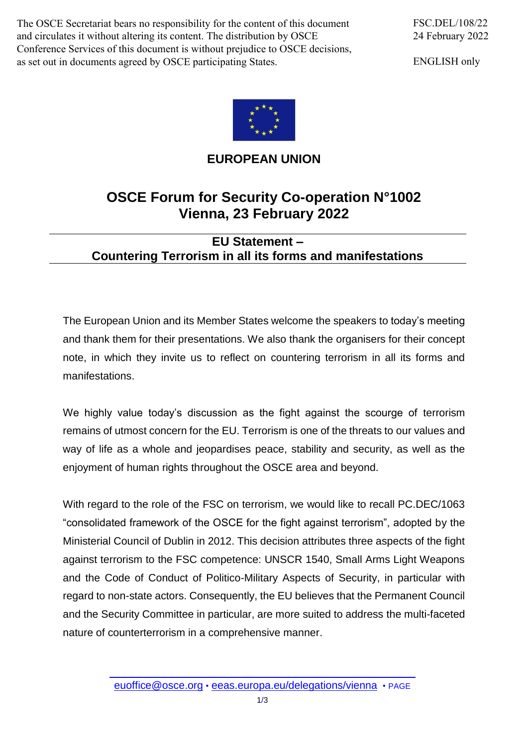The OSCE Secretariat bears no responsibility for the content of this document and circulates it without altering its content. The distribution by OSCE Conference Services of this document is without prejudice to OSCE decisions, as set out in documents agreed by OSCE participating States.

ENGLISH only



## **EUROPEAN UNION**

## **OSCE Forum for Security Co-operation N°1002 Vienna, 23 February 2022**

## **EU Statement – Countering Terrorism in all its forms and manifestations**

The European Union and its Member States welcome the speakers to today's meeting and thank them for their presentations. We also thank the organisers for their concept note, in which they invite us to reflect on countering terrorism in all its forms and manifestations.

We highly value today's discussion as the fight against the scourge of terrorism remains of utmost concern for the EU. Terrorism is one of the threats to our values and way of life as a whole and jeopardises peace, stability and security, as well as the enjoyment of human rights throughout the OSCE area and beyond.

With regard to the role of the FSC on terrorism, we would like to recall PC.DEC/1063 "consolidated framework of the OSCE for the fight against terrorism", adopted by the Ministerial Council of Dublin in 2012. This decision attributes three aspects of the fight against terrorism to the FSC competence: UNSCR 1540, Small Arms Light Weapons and the Code of Conduct of Politico-Military Aspects of Security, in particular with regard to non-state actors. Consequently, the EU believes that the Permanent Council and the Security Committee in particular, are more suited to address the multi-faceted nature of counterterrorism in a comprehensive manner.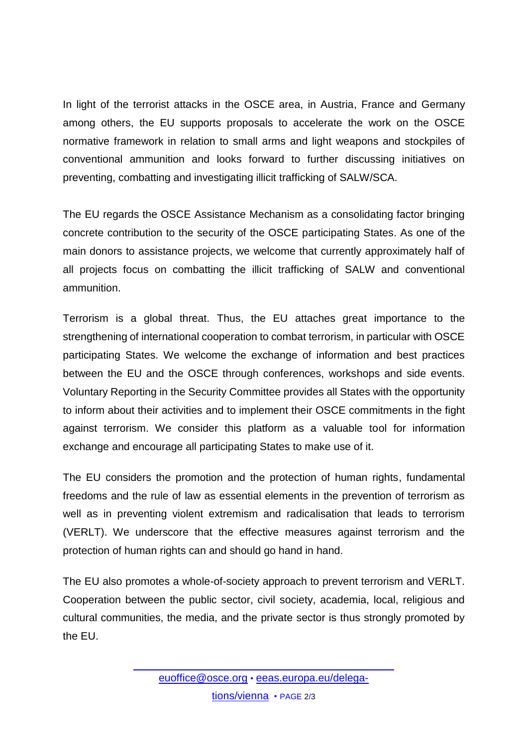In light of the terrorist attacks in the OSCE area, in Austria, France and Germany among others, the EU supports proposals to accelerate the work on the OSCE normative framework in relation to small arms and light weapons and stockpiles of conventional ammunition and looks forward to further discussing initiatives on preventing, combatting and investigating illicit trafficking of SALW/SCA.

The EU regards the OSCE Assistance Mechanism as a consolidating factor bringing concrete contribution to the security of the OSCE participating States. As one of the main donors to assistance projects, we welcome that currently approximately half of all projects focus on combatting the illicit trafficking of SALW and conventional ammunition.

Terrorism is a global threat. Thus, the EU attaches great importance to the strengthening of international cooperation to combat terrorism, in particular with OSCE participating States. We welcome the exchange of information and best practices between the EU and the OSCE through conferences, workshops and side events. Voluntary Reporting in the Security Committee provides all States with the opportunity to inform about their activities and to implement their OSCE commitments in the fight against terrorism. We consider this platform as a valuable tool for information exchange and encourage all participating States to make use of it.

The EU considers the promotion and the protection of human rights, fundamental freedoms and the rule of law as essential elements in the prevention of terrorism as well as in preventing violent extremism and radicalisation that leads to terrorism (VERLT). We underscore that the effective measures against terrorism and the protection of human rights can and should go hand in hand.

The EU also promotes a whole-of-society approach to prevent terrorism and VERLT. Cooperation between the public sector, civil society, academia, local, religious and cultural communities, the media, and the private sector is thus strongly promoted by the EU.